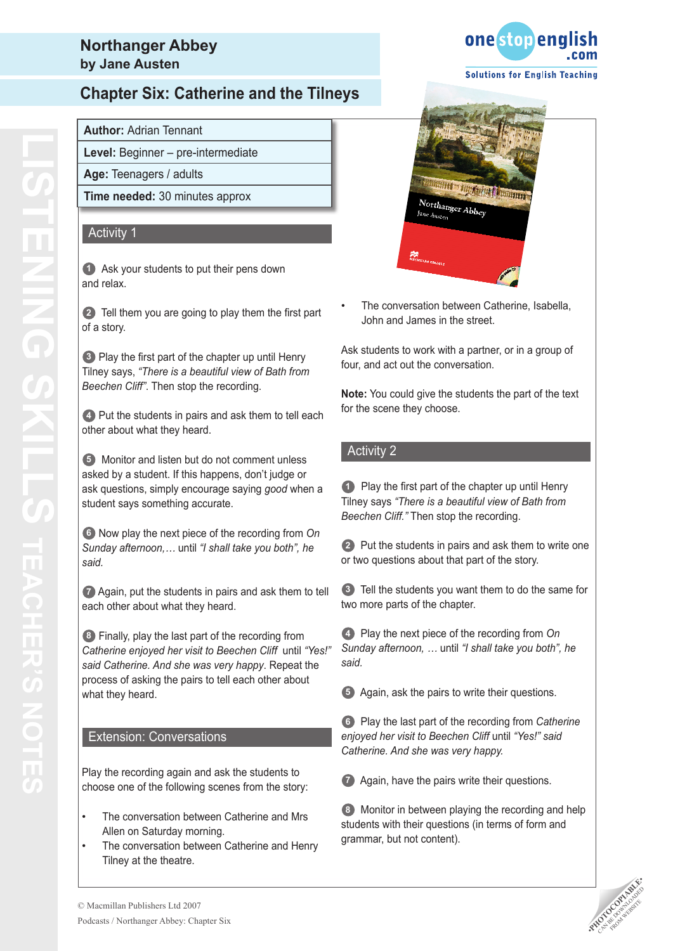## **Northanger Abbey by Jane Austen**

# **Chapter Six: Catherine and the Tilneys**

### **Author:** Adrian Tennant

**Level:** Beginner – pre-intermediate

**Age:** Teenagers / adults

**Time needed:** 30 minutes approx

### Activity 1

**1** Ask your students to put their pens down and relax.

**2** Tell them you are going to play them the first part of a story.

**3** Play the first part of the chapter up until Henry Tilney says, *"There is a beautiful view of Bath from Beechen Cliff"*. Then stop the recording.

**4** Put the students in pairs and ask them to tell each other about what they heard.

**5** Monitor and listen but do not comment unless asked by a student. If this happens, don't judge or ask questions, simply encourage saying *good* when a student says something accurate.

**6** Now play the next piece of the recording from *On Sunday afternoon,…* until *"I shall take you both", he said.*

**7** Again, put the students in pairs and ask them to tell each other about what they heard.

**8** Finally, play the last part of the recording from *Catherine enjoyed her visit to Beechen Cliff* until *"Yes!" said Catherine. And she was very happy*. Repeat the process of asking the pairs to tell each other about what they heard.

#### Extension: Conversations

Play the recording again and ask the students to choose one of the following scenes from the story:

- The conversation between Catherine and Mrs Allen on Saturday morning. •
- The conversation between Catherine and Henry Tilney at the theatre. •





The conversation between Catherine, Isabella, John and James in the street. •

Ask students to work with a partner, or in a group of four, and act out the conversation.

**Note:** You could give the students the part of the text for the scene they choose.

### Activity 2

**1** Play the first part of the chapter up until Henry Tilney says *"There is a beautiful view of Bath from Beechen Cliff."* Then stop the recording.

**2** Put the students in pairs and ask them to write one or two questions about that part of the story.

**3** Tell the students you want them to do the same for two more parts of the chapter.

**4** Play the next piece of the recording from *On Sunday afternoon, …* until *"I shall take you both", he said.*

**5** Again, ask the pairs to write their questions.

**6** Play the last part of the recording from *Catherine enjoyed her visit to Beechen Cliff* until *"Yes!" said Catherine. And she was very happy.* 

**7** Again, have the pairs write their questions.

**8** Monitor in between playing the recording and help students with their questions (in terms of form and grammar, but not content).

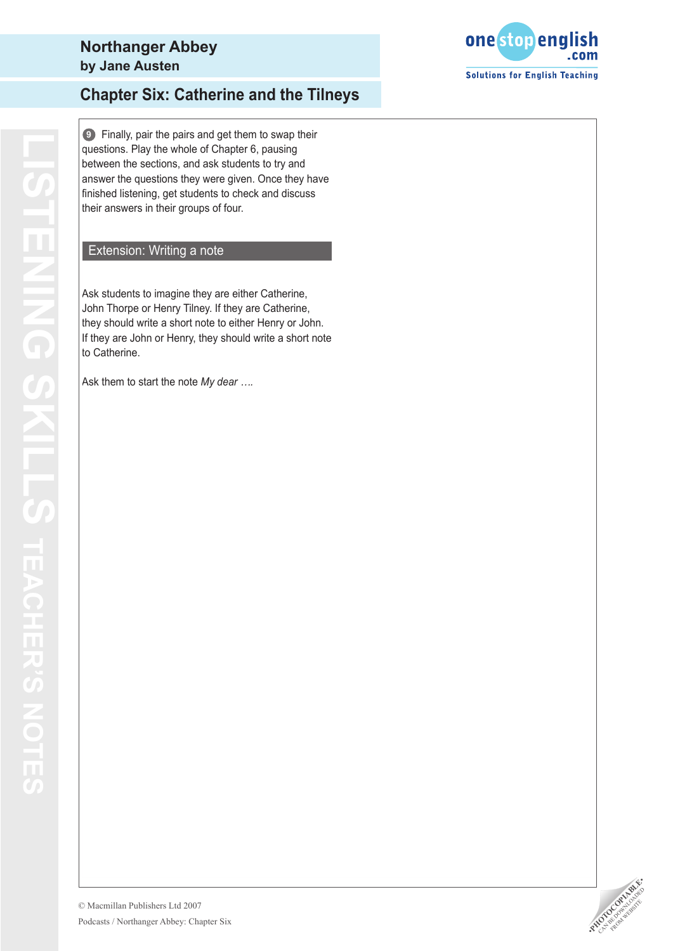**9** Finally, pair the pairs and get them to swap their questions. Play the whole of Chapter 6, pausing between the sections, and ask students to try and answer the questions they were given. Once they have finished listening, get students to check and discuss their answers in their groups of four.

## Extension: Writing a note

Ask students to imagine they are either Catherine, John Thorpe or Henry Tilney. If they are Catherine, they should write a short note to either Henry or John. If they are John or Henry, they should write a short note to Catherine.

Ask them to start the note *My dear ….*



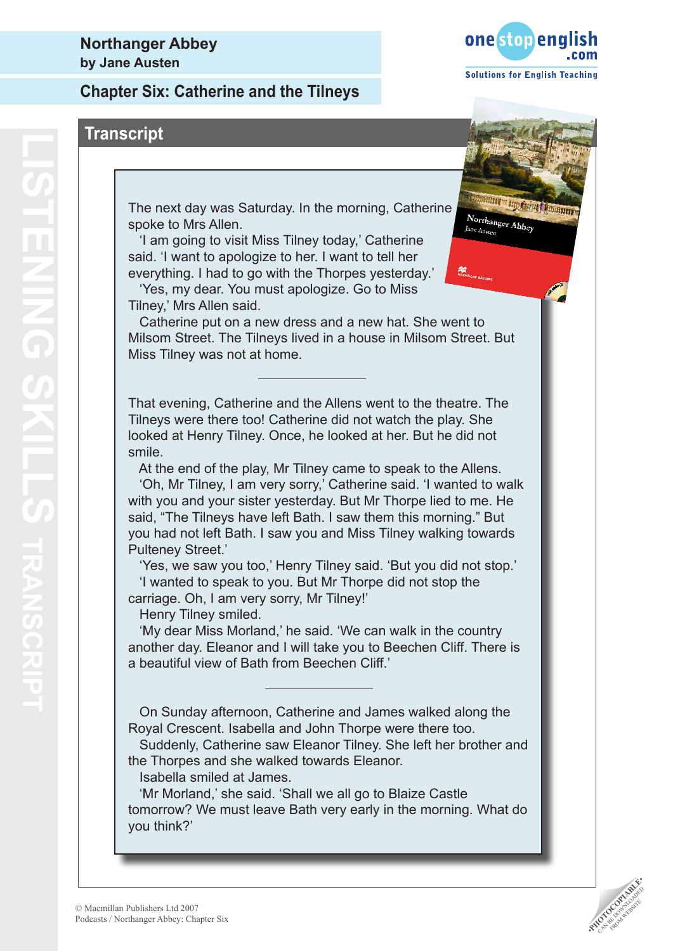

Northanger Abbey

**Misn** 

# **Transcript**

The next day was Saturday. In the morning, Catherine spoke to Mrs Allen.

 'I am going to visit Miss Tilney today,' Catherine said. 'I want to apologize to her. I want to tell her everything. I had to go with the Thorpes yesterday.'

 'Yes, my dear. You must apologize. Go to Miss Tilney,' Mrs Allen said.

 Catherine put on a new dress and a new hat. She went to Milsom Street. The Tilneys lived in a house in Milsom Street. But Miss Tilney was not at home.

That evening, Catherine and the Allens went to the theatre. The Tilneys were there too! Catherine did not watch the play. She looked at Henry Tilney. Once, he looked at her. But he did not smile.

At the end of the play, Mr Tilney came to speak to the Allens.

 'Oh, Mr Tilney, I am very sorry,' Catherine said. 'I wanted to walk with you and your sister yesterday. But Mr Thorpe lied to me. He said, "The Tilneys have left Bath. I saw them this morning." But you had not left Bath. I saw you and Miss Tilney walking towards Pulteney Street.'

 'Yes, we saw you too,' Henry Tilney said. 'But you did not stop.' 'I wanted to speak to you. But Mr Thorpe did not stop the carriage. Oh, I am very sorry, Mr Tilney!'

Henry Tilney smiled.

 'My dear Miss Morland,' he said. 'We can walk in the country another day. Eleanor and I will take you to Beechen Cliff. There is a beautiful view of Bath from Beechen Cliff.'

 On Sunday afternoon, Catherine and James walked along the Royal Crescent. Isabella and John Thorpe were there too.

 Suddenly, Catherine saw Eleanor Tilney. She left her brother and the Thorpes and she walked towards Eleanor.

Isabella smiled at James.

 'Mr Morland,' she said. 'Shall we all go to Blaize Castle tomorrow? We must leave Bath very early in the morning. What do you think?'

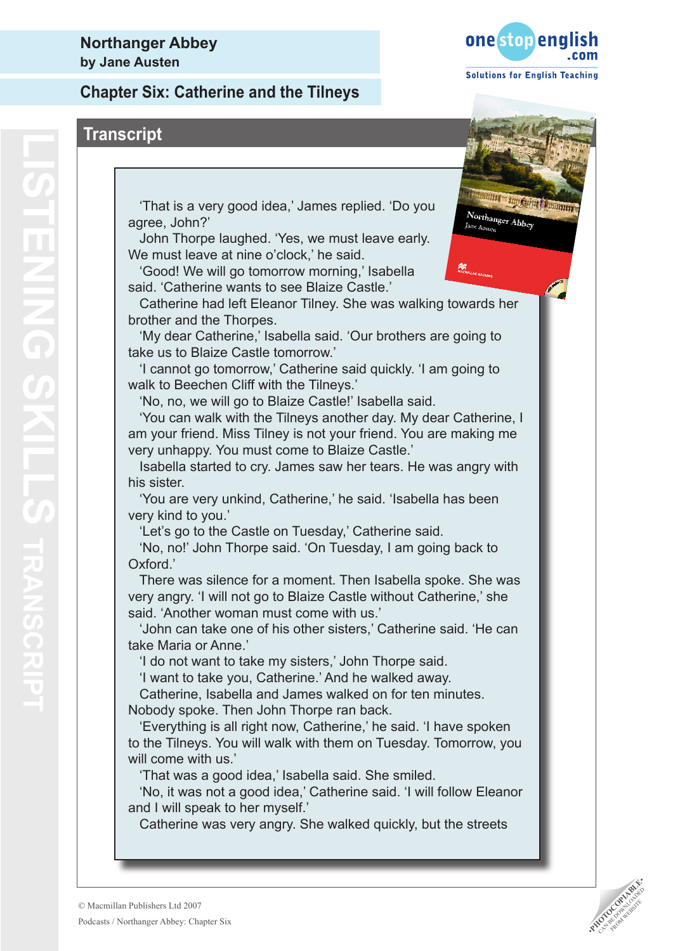

 'That is a very good idea,' James replied. 'Do you agree, John?'

 John Thorpe laughed. 'Yes, we must leave early. We must leave at nine o'clock,' he said.

 'Good! We will go tomorrow morning,' Isabella said. 'Catherine wants to see Blaize Castle.'

 Catherine had left Eleanor Tilney. She was walking towards her brother and the Thorpes.

 'My dear Catherine,' Isabella said. 'Our brothers are going to take us to Blaize Castle tomorrow.'

 'I cannot go tomorrow,' Catherine said quickly. 'I am going to walk to Beechen Cliff with the Tilneys.'

'No, no, we will go to Blaize Castle!' Isabella said.

 'You can walk with the Tilneys another day. My dear Catherine, I am your friend. Miss Tilney is not your friend. You are making me very unhappy. You must come to Blaize Castle.'

 Isabella started to cry. James saw her tears. He was angry with his sister.

 'You are very unkind, Catherine,' he said. 'Isabella has been very kind to you.'

'Let's go to the Castle on Tuesday,' Catherine said.

 'No, no!' John Thorpe said. 'On Tuesday, I am going back to Oxford.'

 There was silence for a moment. Then Isabella spoke. She was very angry. 'I will not go to Blaize Castle without Catherine,' she said. 'Another woman must come with us.'

 'John can take one of his other sisters,' Catherine said. 'He can take Maria or Anne.'

'I do not want to take my sisters,' John Thorpe said.

'I want to take you, Catherine.' And he walked away.

 Catherine, Isabella and James walked on for ten minutes. Nobody spoke. Then John Thorpe ran back.

 'Everything is all right now, Catherine,' he said. 'I have spoken to the Tilneys. You will walk with them on Tuesday. Tomorrow, you will come with us.'

'That was a good idea,' Isabella said. She smiled.

 'No, it was not a good idea,' Catherine said. 'I will follow Eleanor and I will speak to her myself.'

Catherine was very angry. She walked quickly, but the streets



Northanger Abbey